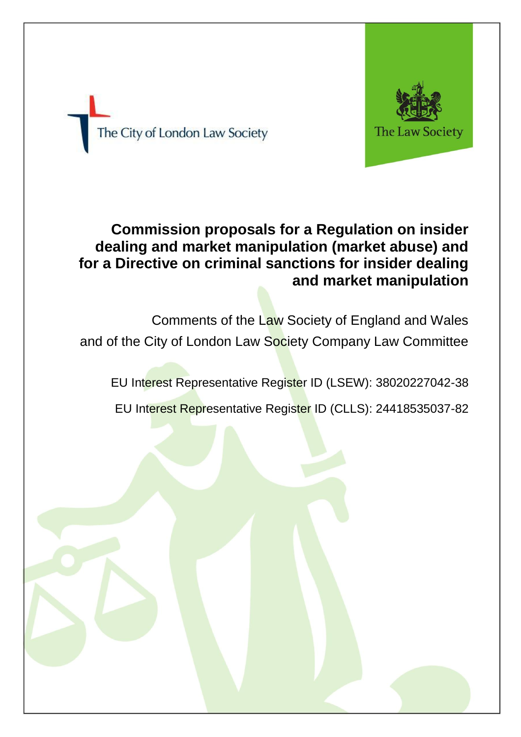

The City of London Law Society

# **Commission proposals for a Regulation on insider dealing and market manipulation (market abuse) and for a Directive on criminal sanctions for insider dealing and market manipulation**

Comments of the Law Society of England and Wales and of the City of London Law Society Company Law Committee

EU Interest Representative Register ID (LSEW): 38020227042-38

EU Interest Representative Register ID (CLLS): 24418535037-82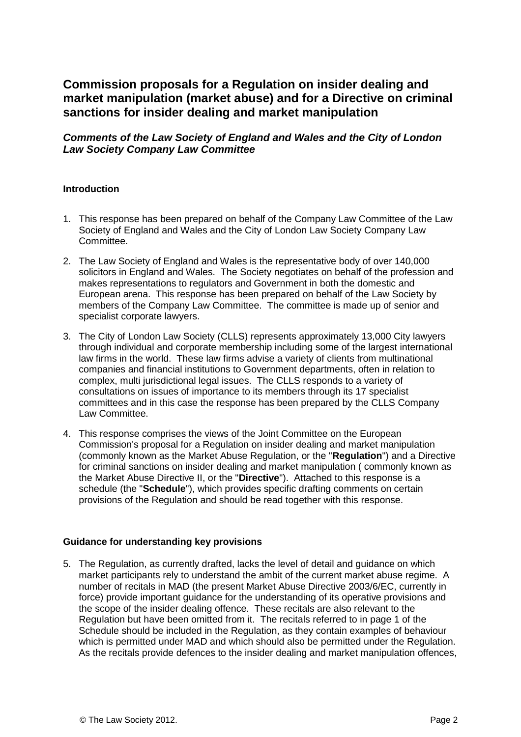# **Commission proposals for a Regulation on insider dealing and market manipulation (market abuse) and for a Directive on criminal sanctions for insider dealing and market manipulation**

## *Comments of the Law Society of England and Wales and the City of London Law Society Company Law Committee*

#### **Introduction**

- 1. This response has been prepared on behalf of the Company Law Committee of the Law Society of England and Wales and the City of London Law Society Company Law Committee.
- 2. The Law Society of England and Wales is the representative body of over 140,000 solicitors in England and Wales. The Society negotiates on behalf of the profession and makes representations to regulators and Government in both the domestic and European arena. This response has been prepared on behalf of the Law Society by members of the Company Law Committee. The committee is made up of senior and specialist corporate lawyers.
- 3. The City of London Law Society (CLLS) represents approximately 13,000 City lawyers through individual and corporate membership including some of the largest international law firms in the world. These law firms advise a variety of clients from multinational companies and financial institutions to Government departments, often in relation to complex, multi jurisdictional legal issues. The CLLS responds to a variety of consultations on issues of importance to its members through its 17 specialist committees and in this case the response has been prepared by the CLLS Company Law Committee.
- 4. This response comprises the views of the Joint Committee on the European Commission's proposal for a Regulation on insider dealing and market manipulation (commonly known as the Market Abuse Regulation, or the "**Regulation**") and a Directive for criminal sanctions on insider dealing and market manipulation ( commonly known as the Market Abuse Directive II, or the "**Directive**"). Attached to this response is a schedule (the "**Schedule**"), which provides specific drafting comments on certain provisions of the Regulation and should be read together with this response.

#### **Guidance for understanding key provisions**

5. The Regulation, as currently drafted, lacks the level of detail and guidance on which market participants rely to understand the ambit of the current market abuse regime. A number of recitals in MAD (the present Market Abuse Directive 2003/6/EC, currently in force) provide important guidance for the understanding of its operative provisions and the scope of the insider dealing offence. These recitals are also relevant to the Regulation but have been omitted from it. The recitals referred to in page 1 of the Schedule should be included in the Regulation, as they contain examples of behaviour which is permitted under MAD and which should also be permitted under the Regulation. As the recitals provide defences to the insider dealing and market manipulation offences,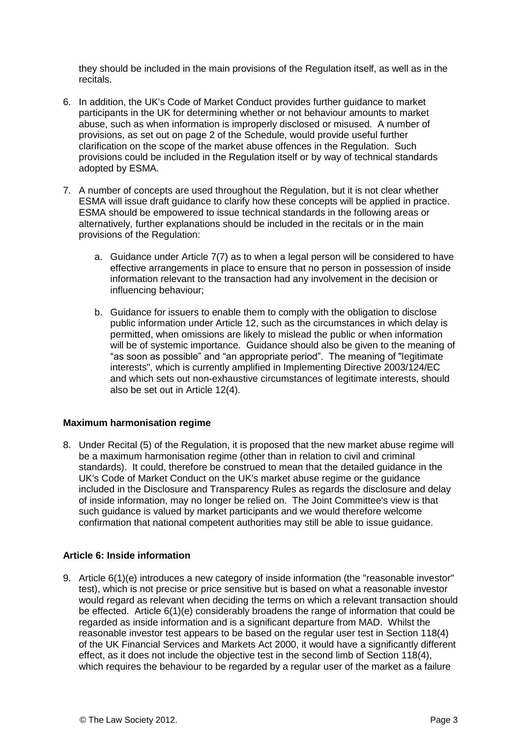they should be included in the main provisions of the Regulation itself, as well as in the recitals.

- 6. In addition, the UK's Code of Market Conduct provides further guidance to market participants in the UK for determining whether or not behaviour amounts to market abuse, such as when information is improperly disclosed or misused. A number of provisions, as set out on page 2 of the Schedule, would provide useful further clarification on the scope of the market abuse offences in the Regulation. Such provisions could be included in the Regulation itself or by way of technical standards adopted by ESMA.
- 7. A number of concepts are used throughout the Regulation, but it is not clear whether ESMA will issue draft guidance to clarify how these concepts will be applied in practice. ESMA should be empowered to issue technical standards in the following areas or alternatively, further explanations should be included in the recitals or in the main provisions of the Regulation:
	- a. Guidance under Article 7(7) as to when a legal person will be considered to have effective arrangements in place to ensure that no person in possession of inside information relevant to the transaction had any involvement in the decision or influencing behaviour;
	- b. Guidance for issuers to enable them to comply with the obligation to disclose public information under Article 12, such as the circumstances in which delay is permitted, when omissions are likely to mislead the public or when information will be of systemic importance. Guidance should also be given to the meaning of "as soon as possible" and "an appropriate period". The meaning of "legitimate interests", which is currently amplified in Implementing Directive 2003/124/EC and which sets out non-exhaustive circumstances of legitimate interests, should also be set out in Article 12(4).

#### **Maximum harmonisation regime**

8. Under Recital (5) of the Regulation, it is proposed that the new market abuse regime will be a maximum harmonisation regime (other than in relation to civil and criminal standards). It could, therefore be construed to mean that the detailed guidance in the UK's Code of Market Conduct on the UK's market abuse regime or the guidance included in the Disclosure and Transparency Rules as regards the disclosure and delay of inside information, may no longer be relied on. The Joint Committee's view is that such guidance is valued by market participants and we would therefore welcome confirmation that national competent authorities may still be able to issue guidance.

#### **Article 6: Inside information**

9. Article 6(1)(e) introduces a new category of inside information (the "reasonable investor" test), which is not precise or price sensitive but is based on what a reasonable investor would regard as relevant when deciding the terms on which a relevant transaction should be effected. Article 6(1)(e) considerably broadens the range of information that could be regarded as inside information and is a significant departure from MAD. Whilst the reasonable investor test appears to be based on the regular user test in Section 118(4) of the UK Financial Services and Markets Act 2000, it would have a significantly different effect, as it does not include the objective test in the second limb of Section 118(4), which requires the behaviour to be regarded by a regular user of the market as a failure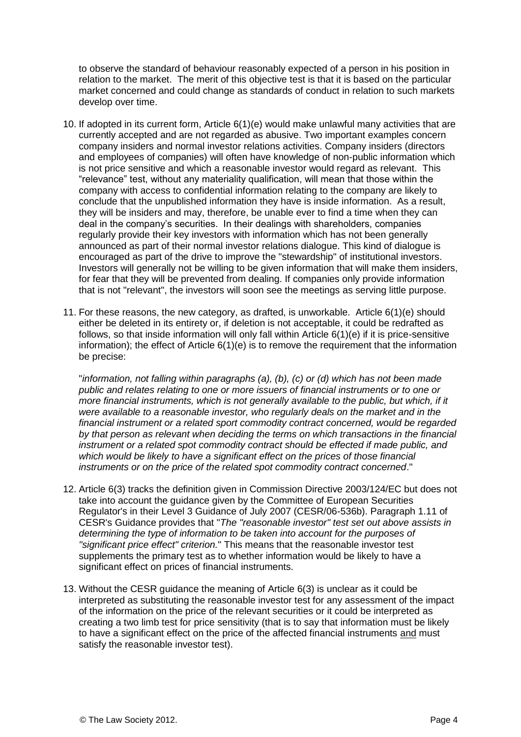to observe the standard of behaviour reasonably expected of a person in his position in relation to the market. The merit of this objective test is that it is based on the particular market concerned and could change as standards of conduct in relation to such markets develop over time.

- 10. If adopted in its current form, Article 6(1)(e) would make unlawful many activities that are currently accepted and are not regarded as abusive. Two important examples concern company insiders and normal investor relations activities. Company insiders (directors and employees of companies) will often have knowledge of non-public information which is not price sensitive and which a reasonable investor would regard as relevant. This "relevance" test, without any materiality qualification, will mean that those within the company with access to confidential information relating to the company are likely to conclude that the unpublished information they have is inside information. As a result, they will be insiders and may, therefore, be unable ever to find a time when they can deal in the company's securities. In their dealings with shareholders, companies regularly provide their key investors with information which has not been generally announced as part of their normal investor relations dialogue. This kind of dialogue is encouraged as part of the drive to improve the "stewardship" of institutional investors. Investors will generally not be willing to be given information that will make them insiders, for fear that they will be prevented from dealing. If companies only provide information that is not "relevant", the investors will soon see the meetings as serving little purpose.
- 11. For these reasons, the new category, as drafted, is unworkable. Article 6(1)(e) should either be deleted in its entirety or, if deletion is not acceptable, it could be redrafted as follows, so that inside information will only fall within Article 6(1)(e) if it is price-sensitive information); the effect of Article 6(1)(e) is to remove the requirement that the information be precise:

"*information, not falling within paragraphs (a), (b), (c) or (d) which has not been made public and relates relating to one or more issuers of financial instruments or to one or more financial instruments, which is not generally available to the public, but which, if it were available to a reasonable investor, who regularly deals on the market and in the financial instrument or a related sport commodity contract concerned, would be regarded by that person as relevant when deciding the terms on which transactions in the financial instrument or a related spot commodity contract should be effected if made public, and which would be likely to have a significant effect on the prices of those financial instruments or on the price of the related spot commodity contract concerned*."

- 12. Article 6(3) tracks the definition given in Commission Directive 2003/124/EC but does not take into account the guidance given by the Committee of European Securities Regulator's in their Level 3 Guidance of July 2007 (CESR/06-536b). Paragraph 1.11 of CESR's Guidance provides that "*The "reasonable investor" test set out above assists in determining the type of information to be taken into account for the purposes of "significant price effect" criterion.*" This means that the reasonable investor test supplements the primary test as to whether information would be likely to have a significant effect on prices of financial instruments.
- 13. Without the CESR guidance the meaning of Article 6(3) is unclear as it could be interpreted as substituting the reasonable investor test for any assessment of the impact of the information on the price of the relevant securities or it could be interpreted as creating a two limb test for price sensitivity (that is to say that information must be likely to have a significant effect on the price of the affected financial instruments and must satisfy the reasonable investor test).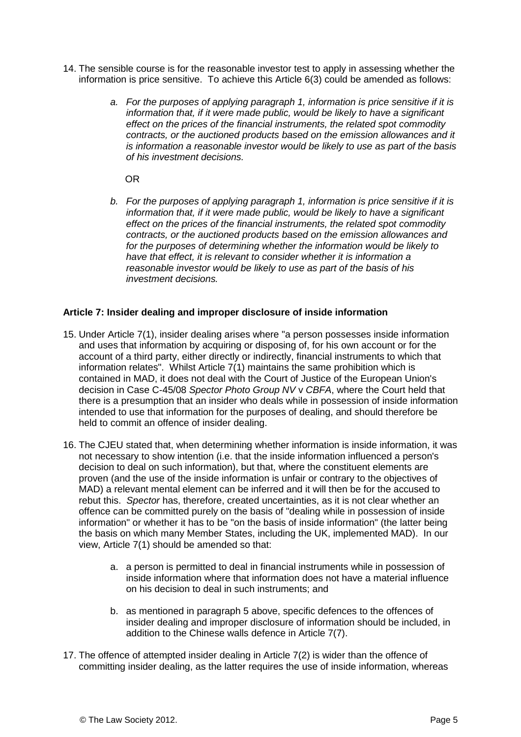- 14. The sensible course is for the reasonable investor test to apply in assessing whether the information is price sensitive. To achieve this Article 6(3) could be amended as follows:
	- *a. For the purposes of applying paragraph 1, information is price sensitive if it is information that, if it were made public, would be likely to have a significant effect on the prices of the financial instruments, the related spot commodity contracts, or the auctioned products based on the emission allowances and it is information a reasonable investor would be likely to use as part of the basis of his investment decisions.*

OR

*b. For the purposes of applying paragraph 1, information is price sensitive if it is information that, if it were made public, would be likely to have a significant effect on the prices of the financial instruments, the related spot commodity contracts, or the auctioned products based on the emission allowances and for the purposes of determining whether the information would be likely to have that effect, it is relevant to consider whether it is information a reasonable investor would be likely to use as part of the basis of his investment decisions.*

#### **Article 7: Insider dealing and improper disclosure of inside information**

- 15. Under Article 7(1), insider dealing arises where "a person possesses inside information and uses that information by acquiring or disposing of, for his own account or for the account of a third party, either directly or indirectly, financial instruments to which that information relates". Whilst Article 7(1) maintains the same prohibition which is contained in MAD, it does not deal with the Court of Justice of the European Union's decision in Case C-45/08 *Spector Photo Group NV* v *CBFA*, where the Court held that there is a presumption that an insider who deals while in possession of inside information intended to use that information for the purposes of dealing, and should therefore be held to commit an offence of insider dealing.
- 16. The CJEU stated that, when determining whether information is inside information, it was not necessary to show intention (i.e. that the inside information influenced a person's decision to deal on such information), but that, where the constituent elements are proven (and the use of the inside information is unfair or contrary to the objectives of MAD) a relevant mental element can be inferred and it will then be for the accused to rebut this. *Spector* has, therefore, created uncertainties, as it is not clear whether an offence can be committed purely on the basis of "dealing while in possession of inside information" or whether it has to be "on the basis of inside information" (the latter being the basis on which many Member States, including the UK, implemented MAD). In our view, Article 7(1) should be amended so that:
	- a. a person is permitted to deal in financial instruments while in possession of inside information where that information does not have a material influence on his decision to deal in such instruments; and
	- b. as mentioned in paragraph 5 above, specific defences to the offences of insider dealing and improper disclosure of information should be included, in addition to the Chinese walls defence in Article 7(7).
- 17. The offence of attempted insider dealing in Article 7(2) is wider than the offence of committing insider dealing, as the latter requires the use of inside information, whereas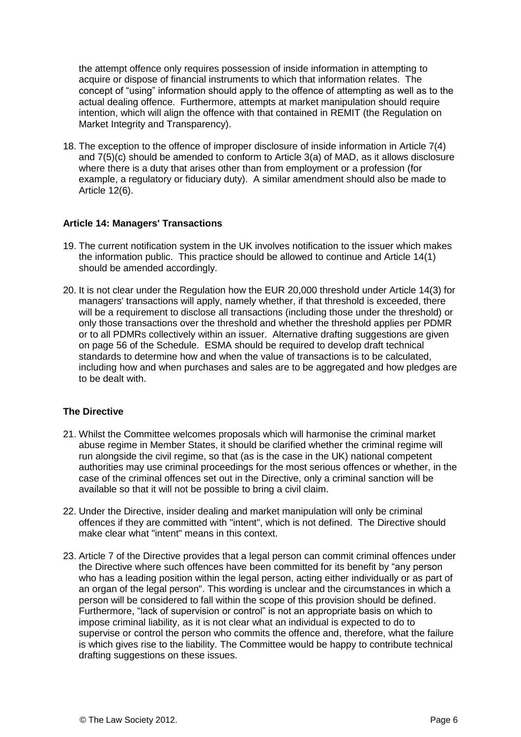the attempt offence only requires possession of inside information in attempting to acquire or dispose of financial instruments to which that information relates. The concept of "using" information should apply to the offence of attempting as well as to the actual dealing offence. Furthermore, attempts at market manipulation should require intention, which will align the offence with that contained in REMIT (the Regulation on Market Integrity and Transparency).

18. The exception to the offence of improper disclosure of inside information in Article 7(4) and 7(5)(c) should be amended to conform to Article 3(a) of MAD, as it allows disclosure where there is a duty that arises other than from employment or a profession (for example, a regulatory or fiduciary duty). A similar amendment should also be made to Article 12(6).

#### **Article 14: Managers' Transactions**

- 19. The current notification system in the UK involves notification to the issuer which makes the information public. This practice should be allowed to continue and Article 14(1) should be amended accordingly.
- 20. It is not clear under the Regulation how the EUR 20,000 threshold under Article 14(3) for managers' transactions will apply, namely whether, if that threshold is exceeded, there will be a requirement to disclose all transactions (including those under the threshold) or only those transactions over the threshold and whether the threshold applies per PDMR or to all PDMRs collectively within an issuer. Alternative drafting suggestions are given on page 56 of the Schedule. ESMA should be required to develop draft technical standards to determine how and when the value of transactions is to be calculated, including how and when purchases and sales are to be aggregated and how pledges are to be dealt with.

### **The Directive**

- 21. Whilst the Committee welcomes proposals which will harmonise the criminal market abuse regime in Member States, it should be clarified whether the criminal regime will run alongside the civil regime, so that (as is the case in the UK) national competent authorities may use criminal proceedings for the most serious offences or whether, in the case of the criminal offences set out in the Directive, only a criminal sanction will be available so that it will not be possible to bring a civil claim.
- 22. Under the Directive, insider dealing and market manipulation will only be criminal offences if they are committed with "intent", which is not defined. The Directive should make clear what "intent" means in this context.
- 23. Article 7 of the Directive provides that a legal person can commit criminal offences under the Directive where such offences have been committed for its benefit by "any person who has a leading position within the legal person, acting either individually or as part of an organ of the legal person". This wording is unclear and the circumstances in which a person will be considered to fall within the scope of this provision should be defined. Furthermore, "lack of supervision or control" is not an appropriate basis on which to impose criminal liability, as it is not clear what an individual is expected to do to supervise or control the person who commits the offence and, therefore, what the failure is which gives rise to the liability. The Committee would be happy to contribute technical drafting suggestions on these issues.